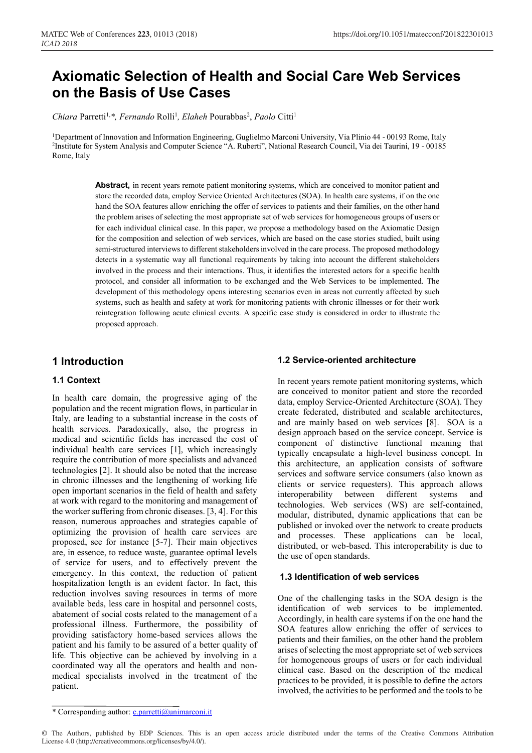# **Axiomatic Selection of Health and Social Care Web Services on the Basis of Use Cases**

Chiara Parretti<sup>1,\*</sup>, Fernando Rolli<sup>1</sup>, Elaheh Pourabbas<sup>2</sup>, Paolo Citti<sup>1</sup>

1Department of Innovation and Information Engineering, Guglielmo Marconi University, Via Plinio 44 - 00193 Rome, Italy <sup>2</sup>Institute for System Analysis and Computer Science "A. Ruberti", National Research Council, Via dei Taurini, 19 - 00185 Rome, Italy

> Abstract, in recent years remote patient monitoring systems, which are conceived to monitor patient and store the recorded data, employ Service Oriented Architectures (SOA). In health care systems, if on the one hand the SOA features allow enriching the offer of services to patients and their families, on the other hand the problem arises of selecting the most appropriate set of web services for homogeneous groups of users or for each individual clinical case. In this paper, we propose a methodology based on the Axiomatic Design for the composition and selection of web services, which are based on the case stories studied, built using semi-structured interviews to different stakeholders involved in the care process. The proposed methodology detects in a systematic way all functional requirements by taking into account the different stakeholders involved in the process and their interactions. Thus, it identifies the interested actors for a specific health protocol, and consider all information to be exchanged and the Web Services to be implemented. The development of this methodology opens interesting scenarios even in areas not currently affected by such systems, such as health and safety at work for monitoring patients with chronic illnesses or for their work reintegration following acute clinical events. A specific case study is considered in order to illustrate the proposed approach.

### **1 Introduction**

#### **1.1 Context**

In health care domain, the progressive aging of the population and the recent migration flows, in particular in Italy, are leading to a substantial increase in the costs of health services. Paradoxically, also, the progress in medical and scientific fields has increased the cost of individual health care services [1], which increasingly require the contribution of more specialists and advanced technologies [2]. It should also be noted that the increase in chronic illnesses and the lengthening of working life open important scenarios in the field of health and safety at work with regard to the monitoring and management of the worker suffering from chronic diseases. [3, 4]. For this reason, numerous approaches and strategies capable of optimizing the provision of health care services are proposed, see for instance [5-7]. Their main objectives are, in essence, to reduce waste, guarantee optimal levels of service for users, and to effectively prevent the emergency. In this context, the reduction of patient hospitalization length is an evident factor. In fact, this reduction involves saving resources in terms of more available beds, less care in hospital and personnel costs, abatement of social costs related to the management of a professional illness. Furthermore, the possibility of providing satisfactory home-based services allows the patient and his family to be assured of a better quality of life. This objective can be achieved by involving in a coordinated way all the operators and health and nonmedical specialists involved in the treatment of the patient.

#### **1.2 Service-oriented architecture**

In recent years remote patient monitoring systems, which are conceived to monitor patient and store the recorded data, employ Service-Oriented Architecture (SOA). They create federated, distributed and scalable architectures, and are mainly based on web services [8]. SOA is a design approach based on the service concept. Service is component of distinctive functional meaning that typically encapsulate a high-level business concept. In this architecture, an application consists of software services and software service consumers (also known as clients or service requesters). This approach allows interoperability between different systems and technologies. Web services (WS) are self-contained, modular, distributed, dynamic applications that can be published or invoked over the network to create products and processes. These applications can be local, distributed, or web-based. This interoperability is due to the use of open standards.

#### **1.3 Identification of web services**

One of the challenging tasks in the SOA design is the identification of web services to be implemented. Accordingly, in health care systems if on the one hand the SOA features allow enriching the offer of services to patients and their families, on the other hand the problem arises of selecting the most appropriate set of web services for homogeneous groups of users or for each individual clinical case. Based on the description of the medical practices to be provided, it is possible to define the actors involved, the activities to be performed and the tools to be

© The Authors, published by EDP Sciences. This is an open access article distributed under the terms of the Creative Commons Attribution License 4.0 (http://creativecommons.org/licenses/by/4.0/).

<sup>\*</sup> Corresponding author: c.parretti@unimarconi.it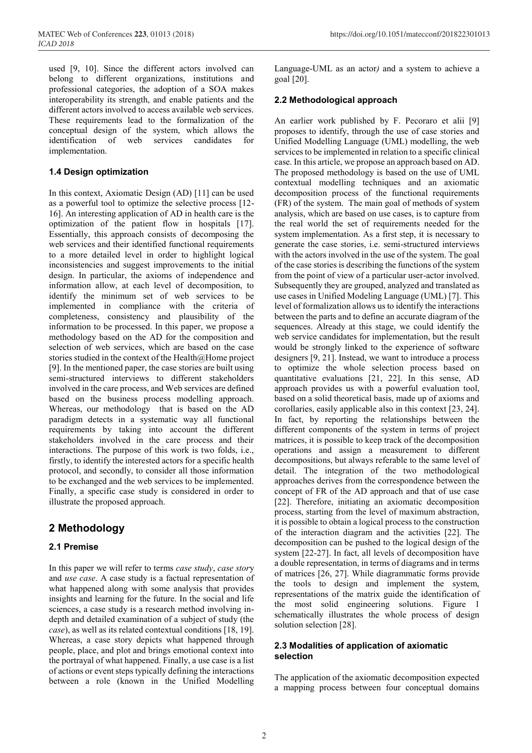used [9, 10]. Since the different actors involved can belong to different organizations, institutions and professional categories, the adoption of a SOA makes interoperability its strength, and enable patients and the different actors involved to access available web services. These requirements lead to the formalization of the conceptual design of the system, which allows the identification of web services candidates for implementation.

### **1.4 Design optimization**

In this context, Axiomatic Design (AD) [11] can be used as a powerful tool to optimize the selective process [12- 16]. An interesting application of AD in health care is the optimization of the patient flow in hospitals [17]. Essentially, this approach consists of decomposing the web services and their identified functional requirements to a more detailed level in order to highlight logical inconsistencies and suggest improvements to the initial design. In particular, the axioms of independence and information allow, at each level of decomposition, to identify the minimum set of web services to be implemented in compliance with the criteria of completeness, consistency and plausibility of the information to be processed. In this paper, we propose a methodology based on the AD for the composition and selection of web services, which are based on the case stories studied in the context of the Health@Home project [9]. In the mentioned paper, the case stories are built using semi-structured interviews to different stakeholders involved in the care process, and Web services are defined based on the business process modelling approach. Whereas, our methodology that is based on the AD paradigm detects in a systematic way all functional requirements by taking into account the different stakeholders involved in the care process and their interactions. The purpose of this work is two folds, i.e., firstly, to identify the interested actors for a specific health protocol, and secondly, to consider all those information to be exchanged and the web services to be implemented. Finally, a specific case study is considered in order to illustrate the proposed approach.

# **2 Methodology**

### **2.1 Premise**

In this paper we will refer to terms *case study*, *case stor*y and *use case*. A case study is a factual representation of what happened along with some analysis that provides insights and learning for the future. In the social and life sciences, a case study is a research method involving indepth and detailed examination of a subject of study (the *case*), as well as its related contextual conditions [18, 19]. Whereas, a case story depicts what happened through people, place, and plot and brings emotional context into the portrayal of what happened. Finally, a use case is a list of actions or event steps typically defining the interactions between a role (known in the Unified Modelling

Language-UML as an actor*)* and a system to achieve a goal [20].

### **2.2 Methodological approach**

An earlier work published by F. Pecoraro et alii [9] proposes to identify, through the use of case stories and Unified Modelling Language (UML) modelling, the web services to be implemented in relation to a specific clinical case. In this article, we propose an approach based on AD. The proposed methodology is based on the use of UML contextual modelling techniques and an axiomatic decomposition process of the functional requirements (FR) of the system. The main goal of methods of system analysis, which are based on use cases, is to capture from the real world the set of requirements needed for the system implementation. As a first step, it is necessary to generate the case stories, i.e. semi-structured interviews with the actors involved in the use of the system. The goal of the case stories is describing the functions of the system from the point of view of a particular user-actor involved. Subsequently they are grouped, analyzed and translated as use cases in Unified Modeling Language (UML) [7]. This level of formalization allows us to identify the interactions between the parts and to define an accurate diagram of the sequences. Already at this stage, we could identify the web service candidates for implementation, but the result would be strongly linked to the experience of software designers [9, 21]. Instead, we want to introduce a process to optimize the whole selection process based on quantitative evaluations [21, 22]. In this sense, AD approach provides us with a powerful evaluation tool, based on a solid theoretical basis, made up of axioms and corollaries, easily applicable also in this context [23, 24]. In fact, by reporting the relationships between the different components of the system in terms of project matrices, it is possible to keep track of the decomposition operations and assign a measurement to different decompositions, but always referable to the same level of detail. The integration of the two methodological approaches derives from the correspondence between the concept of FR of the AD approach and that of use case [22]. Therefore, initiating an axiomatic decomposition process, starting from the level of maximum abstraction, it is possible to obtain a logical process to the construction of the interaction diagram and the activities [22]. The decomposition can be pushed to the logical design of the system [22-27]. In fact, all levels of decomposition have a double representation, in terms of diagrams and in terms of matrices [26, 27]. While diagrammatic forms provide the tools to design and implement the system, representations of the matrix guide the identification of the most solid engineering solutions. Figure 1 schematically illustrates the whole process of design solution selection [28].

### **2.3 Modalities of application of axiomatic selection**

The application of the axiomatic decomposition expected a mapping process between four conceptual domains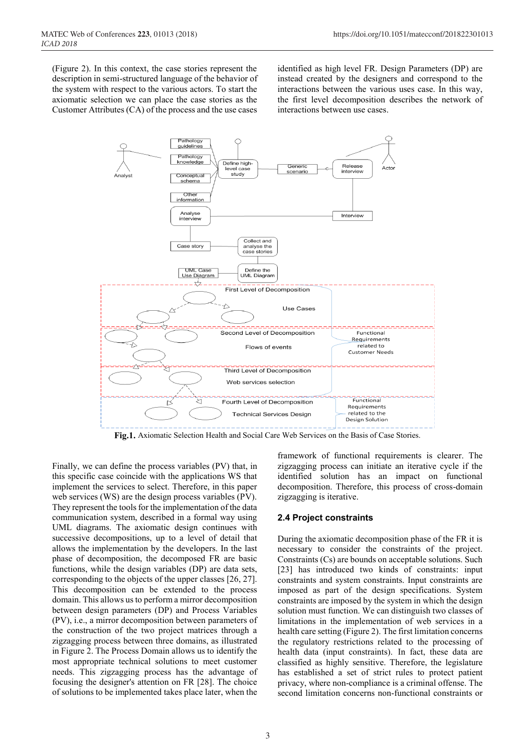(Figure 2). In this context, the case stories represent the description in semi-structured language of the behavior of the system with respect to the various actors. To start the axiomatic selection we can place the case stories as the Customer Attributes (CA) of the process and the use cases

identified as high level FR. Design Parameters (DP) are instead created by the designers and correspond to the interactions between the various uses case. In this way, the first level decomposition describes the network of interactions between use cases.



**Fig.1.** Axiomatic Selection Health and Social Care Web Services on the Basis of Case Stories.

Finally, we can define the process variables (PV) that, in this specific case coincide with the applications WS that implement the services to select. Therefore, in this paper web services (WS) are the design process variables (PV). They represent the tools for the implementation of the data communication system, described in a formal way using UML diagrams. The axiomatic design continues with successive decompositions, up to a level of detail that allows the implementation by the developers. In the last phase of decomposition, the decomposed FR are basic functions, while the design variables (DP) are data sets, corresponding to the objects of the upper classes [26, 27]. This decomposition can be extended to the process domain. This allows us to perform a mirror decomposition between design parameters (DP) and Process Variables (PV), i.e., a mirror decomposition between parameters of the construction of the two project matrices through a zigzagging process between three domains, as illustrated in Figure 2. The Process Domain allows us to identify the most appropriate technical solutions to meet customer needs. This zigzagging process has the advantage of focusing the designer's attention on FR [28]. The choice of solutions to be implemented takes place later, when the

framework of functional requirements is clearer. The zigzagging process can initiate an iterative cycle if the identified solution has an impact on functional decomposition. Therefore, this process of cross-domain zigzagging is iterative.

#### **2.4 Project constraints**

During the axiomatic decomposition phase of the FR it is necessary to consider the constraints of the project. Constraints (Cs) are bounds on acceptable solutions. Such [23] has introduced two kinds of constraints: input constraints and system constraints. Input constraints are imposed as part of the design specifications. System constraints are imposed by the system in which the design solution must function. We can distinguish two classes of limitations in the implementation of web services in a health care setting (Figure 2). The first limitation concerns the regulatory restrictions related to the processing of health data (input constraints). In fact, these data are classified as highly sensitive. Therefore, the legislature has established a set of strict rules to protect patient privacy, where non-compliance is a criminal offense. The second limitation concerns non-functional constraints or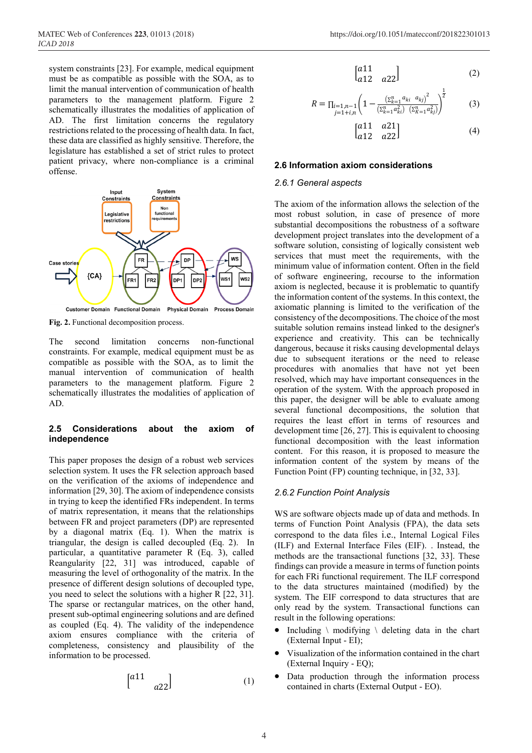system constraints [23]. For example, medical equipment must be as compatible as possible with the SOA, as to limit the manual intervention of communication of health parameters to the management platform. Figure 2 schematically illustrates the modalities of application of AD. The first limitation concerns the regulatory restrictions related to the processing of health data. In fact, these data are classified as highly sensitive. Therefore, the legislature has established a set of strict rules to protect patient privacy, where non-compliance is a criminal offense.



**Customer Domain Functional Domain Physical Domain Process Domain** 

**Fig. 2.** Functional decomposition process.

The second limitation concerns non-functional constraints. For example, medical equipment must be as compatible as possible with the SOA, as to limit the manual intervention of communication of health parameters to the management platform. Figure 2 schematically illustrates the modalities of application of AD.

#### **2.5 Considerations about the axiom of independence**

This paper proposes the design of a robust web services selection system. It uses the FR selection approach based on the verification of the axioms of independence and information [29, 30]. The axiom of independence consists in trying to keep the identified FRs independent. In terms of matrix representation, it means that the relationships between FR and project parameters (DP) are represented by a diagonal matrix (Eq. 1). When the matrix is triangular, the design is called decoupled (Eq. 2). In particular, a quantitative parameter R (Eq. 3), called Reangularity [22, 31] was introduced, capable of measuring the level of orthogonality of the matrix. In the presence of different design solutions of decoupled type, you need to select the solutions with a higher R [22, 31]. The sparse or rectangular matrices, on the other hand, present sub-optimal engineering solutions and are defined as coupled (Eq. 4). The validity of the independence axiom ensures compliance with the criteria of completeness, consistency and plausibility of the information to be processed.

$$
\begin{bmatrix} a11 & 0 & 0 \\ 0 & 0 & a22 \end{bmatrix} \tag{1}
$$

$$
\begin{bmatrix} a11 \\ a12 & a22 \end{bmatrix} \tag{2}
$$

$$
R = \prod_{\substack{i=1,n-1 \ j=1+i,n}} \left( 1 - \frac{\left(\sum_{k=1}^{n} a_{ki} \ a_{kj}\right)^2}{\left(\sum_{k=1}^{n} a_{ki}^2\right) \left(\sum_{k=1}^{n} a_{kj}^2\right)} \right)^{\frac{1}{2}}
$$
(3)

$$
\begin{bmatrix} a11 & a21 \\ a12 & a22 \end{bmatrix} \tag{4}
$$

#### **2.6 Information axiom considerations**

#### *2.6.1 General aspects*

The axiom of the information allows the selection of the most robust solution, in case of presence of more substantial decompositions the robustness of a software development project translates into the development of a software solution, consisting of logically consistent web services that must meet the requirements, with the minimum value of information content. Often in the field of software engineering, recourse to the information axiom is neglected, because it is problematic to quantify the information content of the systems. In this context, the axiomatic planning is limited to the verification of the consistency of the decompositions. The choice of the most suitable solution remains instead linked to the designer's experience and creativity. This can be technically dangerous, because it risks causing developmental delays due to subsequent iterations or the need to release procedures with anomalies that have not yet been resolved, which may have important consequences in the operation of the system. With the approach proposed in this paper, the designer will be able to evaluate among several functional decompositions, the solution that requires the least effort in terms of resources and development time [26, 27]. This is equivalent to choosing functional decomposition with the least information content. For this reason, it is proposed to measure the information content of the system by means of the Function Point (FP) counting technique, in [32, 33].

#### *2.6.2 Function Point Analysis*

WS are software objects made up of data and methods. In terms of Function Point Analysis (FPA), the data sets correspond to the data files i.e., Internal Logical Files (ILF) and External Interface Files (EIF). . Instead, the methods are the transactional functions [32, 33]. These findings can provide a measure in terms of function points for each FRi functional requirement. The ILF correspond to the data structures maintained (modified) by the system. The EIF correspond to data structures that are only read by the system. Transactional functions can result in the following operations:

- Including  $\setminus$  modifying  $\setminus$  deleting data in the chart (External Input - EI);
- Visualization of the information contained in the chart (External Inquiry - EQ);
- Data production through the information process contained in charts (External Output - EO).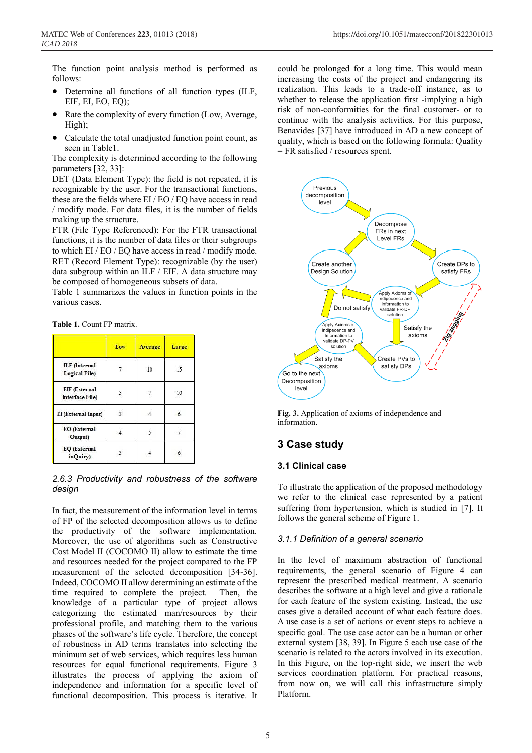The function point analysis method is performed as follows:

- Determine all functions of all function types (ILF, EIF, EI, EO, EQ);
- Rate the complexity of every function (Low, Average, High);
- Calculate the total unadjusted function point count, as seen in Table1.

The complexity is determined according to the following parameters [32, 33]:

DET (Data Element Type): the field is not repeated, it is recognizable by the user. For the transactional functions, these are the fields where EI / EO / EQ have access in read / modify mode. For data files, it is the number of fields making up the structure.

FTR (File Type Referenced): For the FTR transactional functions, it is the number of data files or their subgroups to which EI / EO / EQ have access in read / modify mode. RET (Record Element Type): recognizable (by the user) data subgroup within an ILF / EIF. A data structure may be composed of homogeneous subsets of data.

Table 1 summarizes the values in function points in the various cases.

**Table 1.** Count FP matrix.

|                                              | Low | Average | Large |
|----------------------------------------------|-----|---------|-------|
| <b>ILF</b> (Internal<br><b>Logical File)</b> |     | 10      | 15    |
| <b>EIF</b> (External<br>Interface File)      |     |         | 10    |
| EI (External Input)                          | 3   |         |       |
| <b>EO</b> (External<br>Output)               |     | 5.      |       |
| <b>EQ</b> (External<br>inQuiry)              |     |         |       |

*2.6.3 Productivity and robustness of the software design*

In fact, the measurement of the information level in terms of FP of the selected decomposition allows us to define the productivity of the software implementation. Moreover, the use of algorithms such as Constructive Cost Model II (COCOMO II) allow to estimate the time and resources needed for the project compared to the FP measurement of the selected decomposition [34-36]. Indeed, COCOMO II allow determining an estimate of the time required to complete the project. Then, the knowledge of a particular type of project allows categorizing the estimated man/resources by their professional profile, and matching them to the various phases of the software's life cycle. Therefore, the concept of robustness in AD terms translates into selecting the minimum set of web services, which requires less human resources for equal functional requirements. Figure 3 illustrates the process of applying the axiom of independence and information for a specific level of functional decomposition. This process is iterative. It

could be prolonged for a long time. This would mean increasing the costs of the project and endangering its realization. This leads to a trade-off instance, as to whether to release the application first -implying a high risk of non-conformities for the final customer- or to continue with the analysis activities. For this purpose, Benavides [37] have introduced in AD a new concept of quality, which is based on the following formula: Quality = FR satisfied / resources spent.



**Fig. 3.** Application of axioms of independence and information.

# **3 Case study**

#### **3.1 Clinical case**

To illustrate the application of the proposed methodology we refer to the clinical case represented by a patient suffering from hypertension, which is studied in [7]. It follows the general scheme of Figure 1.

#### *3.1.1 Definition of a general scenario*

In the level of maximum abstraction of functional requirements, the general scenario of Figure 4 can represent the prescribed medical treatment. A scenario describes the software at a high level and give a rationale for each feature of the system existing. Instead, the use cases give a detailed account of what each feature does. A use case is a set of actions or event steps to achieve a specific goal. The use case actor can be a human or other external system [38, 39]. In Figure 5 each use case of the scenario is related to the actors involved in its execution. In this Figure, on the top-right side, we insert the web services coordination platform. For practical reasons, from now on, we will call this infrastructure simply Platform.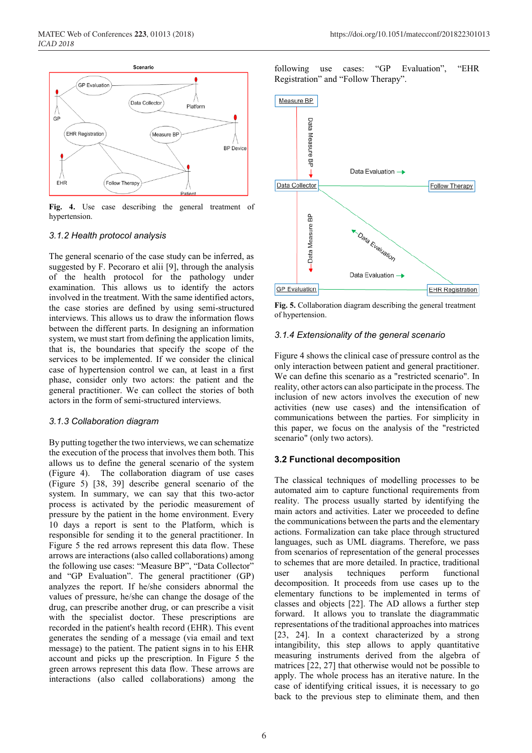

**Fig. 4.** Use case describing the general treatment of hypertension.

#### *3.1.2 Health protocol analysis*

The general scenario of the case study can be inferred, as suggested by F. Pecoraro et alii [9], through the analysis of the health protocol for the pathology under examination. This allows us to identify the actors involved in the treatment. With the same identified actors, the case stories are defined by using semi-structured interviews. This allows us to draw the information flows between the different parts. In designing an information system, we must start from defining the application limits, that is, the boundaries that specify the scope of the services to be implemented. If we consider the clinical case of hypertension control we can, at least in a first phase, consider only two actors: the patient and the general practitioner. We can collect the stories of both actors in the form of semi-structured interviews.

#### *3.1.3 Collaboration diagram*

By putting together the two interviews, we can schematize the execution of the process that involves them both. This allows us to define the general scenario of the system (Figure 4). The collaboration diagram of use cases (Figure 5) [38, 39] describe general scenario of the system. In summary, we can say that this two-actor process is activated by the periodic measurement of pressure by the patient in the home environment. Every 10 days a report is sent to the Platform, which is responsible for sending it to the general practitioner. In Figure 5 the red arrows represent this data flow. These arrows are interactions (also called collaborations) among the following use cases: "Measure BP", "Data Collector" and "GP Evaluation". The general practitioner (GP) analyzes the report. If he/she considers abnormal the values of pressure, he/she can change the dosage of the drug, can prescribe another drug, or can prescribe a visit with the specialist doctor. These prescriptions are recorded in the patient's health record (EHR). This event generates the sending of a message (via email and text message) to the patient. The patient signs in to his EHR account and picks up the prescription. In Figure 5 the green arrows represent this data flow. These arrows are interactions (also called collaborations) among the

following use cases: "GP Evaluation", "EHR Registration" and "Follow Therapy".



**Fig. 5.** Collaboration diagram describing the general treatment of hypertension.

#### *3.1.4 Extensionality of the general scenario*

Figure 4 shows the clinical case of pressure control as the only interaction between patient and general practitioner. We can define this scenario as a "restricted scenario". In reality, other actors can also participate in the process. The inclusion of new actors involves the execution of new activities (new use cases) and the intensification of communications between the parties. For simplicity in this paper, we focus on the analysis of the "restricted scenario" (only two actors).

#### **3.2 Functional decomposition**

The classical techniques of modelling processes to be automated aim to capture functional requirements from reality. The process usually started by identifying the main actors and activities. Later we proceeded to define the communications between the parts and the elementary actions. Formalization can take place through structured languages, such as UML diagrams. Therefore, we pass from scenarios of representation of the general processes to schemes that are more detailed. In practice, traditional<br>user analysis techniques perform functional user analysis techniques perform functional decomposition. It proceeds from use cases up to the elementary functions to be implemented in terms of classes and objects [22]. The AD allows a further step forward. It allows you to translate the diagrammatic representations of the traditional approaches into matrices [23, 24]. In a context characterized by a strong intangibility, this step allows to apply quantitative measuring instruments derived from the algebra of matrices [22, 27] that otherwise would not be possible to apply. The whole process has an iterative nature. In the case of identifying critical issues, it is necessary to go back to the previous step to eliminate them, and then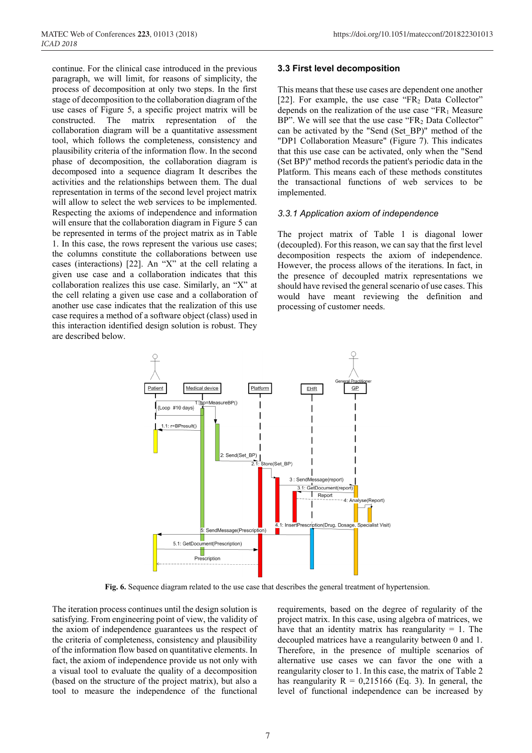continue. For the clinical case introduced in the previous paragraph, we will limit, for reasons of simplicity, the process of decomposition at only two steps. In the first stage of decomposition to the collaboration diagram of the use cases of Figure 5, a specific project matrix will be constructed. The matrix representation of the collaboration diagram will be a quantitative assessment tool, which follows the completeness, consistency and plausibility criteria of the information flow. In the second phase of decomposition, the collaboration diagram is decomposed into a sequence diagram It describes the activities and the relationships between them. The dual representation in terms of the second level project matrix will allow to select the web services to be implemented. Respecting the axioms of independence and information will ensure that the collaboration diagram in Figure 5 can be represented in terms of the project matrix as in Table 1. In this case, the rows represent the various use cases; the columns constitute the collaborations between use cases (interactions) [22]. An "X" at the cell relating a given use case and a collaboration indicates that this collaboration realizes this use case. Similarly, an "X" at the cell relating a given use case and a collaboration of another use case indicates that the realization of this use case requires a method of a software object (class) used in this interaction identified design solution is robust. They are described below.

### **3.3 First level decomposition**

This means that these use cases are dependent one another [22]. For example, the use case " $FR<sub>2</sub>$  Data Collector" depends on the realization of the use case " $FR<sub>1</sub>$  Measure"  $BP$ ". We will see that the use case "FR<sub>2</sub> Data Collector" can be activated by the "Send (Set\_BP)" method of the "DP1 Collaboration Measure" (Figure 7). This indicates that this use case can be activated, only when the "Send (Set BP)" method records the patient's periodic data in the Platform. This means each of these methods constitutes the transactional functions of web services to be implemented.

#### *3.3.1 Application axiom of independence*

The project matrix of Table 1 is diagonal lower (decoupled). For this reason, we can say that the first level decomposition respects the axiom of independence. However, the process allows of the iterations. In fact, in the presence of decoupled matrix representations we should have revised the general scenario of use cases. This would have meant reviewing the definition and processing of customer needs.



**Fig. 6.** Sequence diagram related to the use case that describes the general treatment of hypertension.

The iteration process continues until the design solution is satisfying. From engineering point of view, the validity of the axiom of independence guarantees us the respect of the criteria of completeness, consistency and plausibility of the information flow based on quantitative elements. In fact, the axiom of independence provide us not only with a visual tool to evaluate the quality of a decomposition (based on the structure of the project matrix), but also a tool to measure the independence of the functional requirements, based on the degree of regularity of the project matrix. In this case, using algebra of matrices, we have that an identity matrix has reangularity  $= 1$ . The decoupled matrices have a reangularity between 0 and 1. Therefore, in the presence of multiple scenarios of alternative use cases we can favor the one with a reangularity closer to 1. In this case, the matrix of Table 2 has reangularity  $R = 0,215166$  (Eq. 3). In general, the level of functional independence can be increased by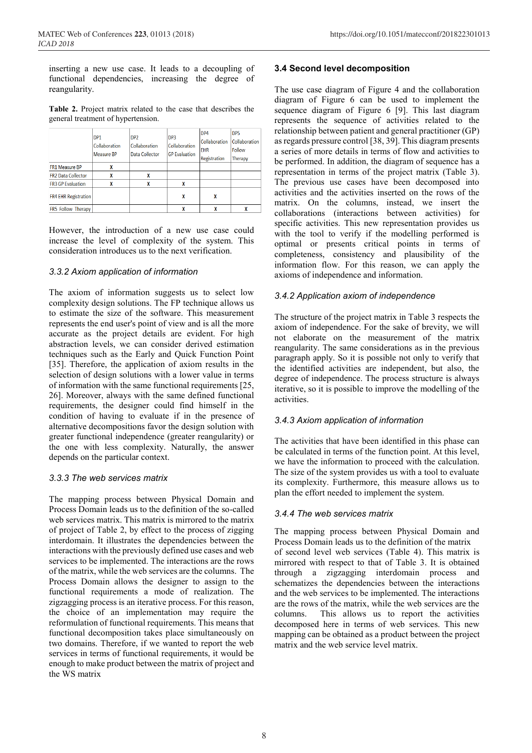inserting a new use case. It leads to a decoupling of functional dependencies, increasing the degree of reangularity.

**Table 2.** Project matrix related to the case that describes the general treatment of hypertension.

|                             | DP <sub>1</sub><br>Collaboration<br><b>Measure BP</b> | DP <sub>2</sub><br>Collaboration<br>Data Collector | DP3<br><b>Collaboration</b><br><b>GP</b> Evaluation | DP4<br>Collaboration<br><b>EHR</b><br>Registration | DP5<br>Collaboration<br><b>Follow</b><br>Therapy |
|-----------------------------|-------------------------------------------------------|----------------------------------------------------|-----------------------------------------------------|----------------------------------------------------|--------------------------------------------------|
| <b>FR1 Measure BP</b>       | X                                                     |                                                    |                                                     |                                                    |                                                  |
| <b>FR2 Data Collector</b>   | X                                                     | X                                                  |                                                     |                                                    |                                                  |
| <b>FR3 GP Evaluation</b>    | X                                                     | X                                                  | X                                                   |                                                    |                                                  |
| <b>FR4 EHR Registration</b> |                                                       |                                                    | X                                                   | X                                                  |                                                  |
| FR5 Follow Therapy          |                                                       |                                                    | X                                                   | X                                                  |                                                  |

However, the introduction of a new use case could increase the level of complexity of the system. This consideration introduces us to the next verification.

### *3.3.2 Axiom application of information*

The axiom of information suggests us to select low complexity design solutions. The FP technique allows us to estimate the size of the software. This measurement represents the end user's point of view and is all the more accurate as the project details are evident. For high abstraction levels, we can consider derived estimation techniques such as the Early and Quick Function Point [35]. Therefore, the application of axiom results in the selection of design solutions with a lower value in terms of information with the same functional requirements [25, 26]. Moreover, always with the same defined functional requirements, the designer could find himself in the condition of having to evaluate if in the presence of alternative decompositions favor the design solution with greater functional independence (greater reangularity) or the one with less complexity. Naturally, the answer depends on the particular context.

#### *3.3.3 The web services matrix*

The mapping process between Physical Domain and Process Domain leads us to the definition of the so-called web services matrix. This matrix is mirrored to the matrix of project of Table 2, by effect to the process of zigging interdomain. It illustrates the dependencies between the interactions with the previously defined use cases and web services to be implemented. The interactions are the rows of the matrix, while the web services are the columns. The Process Domain allows the designer to assign to the functional requirements a mode of realization. The zigzagging process is an iterative process. For this reason, the choice of an implementation may require the reformulation of functional requirements. This means that functional decomposition takes place simultaneously on two domains. Therefore, if we wanted to report the web services in terms of functional requirements, it would be enough to make product between the matrix of project and the WS matrix

### **3.4 Second level decomposition**

The use case diagram of Figure 4 and the collaboration diagram of Figure 6 can be used to implement the sequence diagram of Figure 6 [9]. This last diagram represents the sequence of activities related to the relationship between patient and general practitioner (GP) as regards pressure control [38, 39]. This diagram presents a series of more details in terms of flow and activities to be performed. In addition, the diagram of sequence has a representation in terms of the project matrix (Table 3). The previous use cases have been decomposed into activities and the activities inserted on the rows of the matrix. On the columns, instead, we insert the collaborations (interactions between activities) for specific activities. This new representation provides us with the tool to verify if the modelling performed is optimal or presents critical points in terms of completeness, consistency and plausibility of the information flow. For this reason, we can apply the axioms of independence and information.

### *3.4.2 Application axiom of independence*

The structure of the project matrix in Table 3 respects the axiom of independence. For the sake of brevity, we will not elaborate on the measurement of the matrix reangularity. The same considerations as in the previous paragraph apply. So it is possible not only to verify that the identified activities are independent, but also, the degree of independence. The process structure is always iterative, so it is possible to improve the modelling of the activities.

### *3.4.3 Axiom application of information*

The activities that have been identified in this phase can be calculated in terms of the function point. At this level, we have the information to proceed with the calculation. The size of the system provides us with a tool to evaluate its complexity. Furthermore, this measure allows us to plan the effort needed to implement the system.

#### *3.4.4 The web services matrix*

The mapping process between Physical Domain and Process Domain leads us to the definition of the matrix of second level web services (Table 4). This matrix is mirrored with respect to that of Table 3. It is obtained through a zigzagging interdomain process and schematizes the dependencies between the interactions and the web services to be implemented. The interactions are the rows of the matrix, while the web services are the columns. This allows us to report the activities decomposed here in terms of web services. This new mapping can be obtained as a product between the project matrix and the web service level matrix.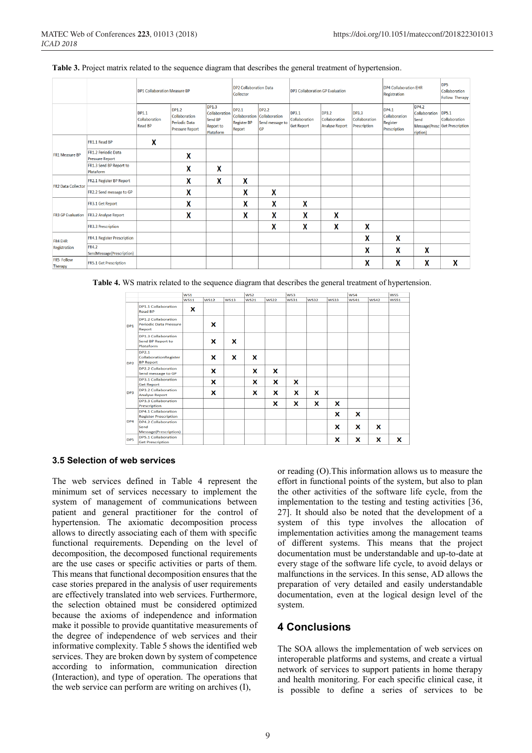|                              |                                               | DP1 Collaboration Measure BP             |                                                                          |                                                                           | <b>DP2 Collaboration Data</b><br>Collector |                                                                             | <b>DP3</b> Collaboration GP Evaluation      |                                                        |                                               | <b>DP4 Collaboration EHR</b><br><b>Registration</b> |                                                   | DP5<br>Collaboration<br>Follow Therapy                                 |
|------------------------------|-----------------------------------------------|------------------------------------------|--------------------------------------------------------------------------|---------------------------------------------------------------------------|--------------------------------------------|-----------------------------------------------------------------------------|---------------------------------------------|--------------------------------------------------------|-----------------------------------------------|-----------------------------------------------------|---------------------------------------------------|------------------------------------------------------------------------|
|                              |                                               | DP1.1<br>Collaboration<br><b>Read BP</b> | <b>DP1.2</b><br>Collaboration<br>Periodic Data<br><b>Pressure Report</b> | <b>DP1.3</b><br>Collaboration<br>Send BP<br><b>Report to</b><br>Plataform | DP2.1<br><b>Register BP</b><br>Report      | <b>DP2.2</b><br>Collaboration Collaboration<br>Send message to<br><b>GP</b> | <b>DP3.1</b><br>Collaboration<br>Get Report | <b>DP3.2</b><br>Collaboration<br><b>Analyse Report</b> | <b>DP3.3</b><br>Collaboration<br>Prescription | DP4.1<br>Collaboration<br>Register<br>Prescription  | <b>DP4.2</b><br>Collaboration<br>Send<br>ription) | <b>DP5.1</b><br>Collaboration<br><b>Message(Presc Get Prescription</b> |
|                              | FR1.1 Read BP                                 | X                                        |                                                                          |                                                                           |                                            |                                                                             |                                             |                                                        |                                               |                                                     |                                                   |                                                                        |
| <b>FR1 Measure BP</b>        | FR1.2 Periodic Data<br><b>Pressure Report</b> |                                          | X                                                                        |                                                                           |                                            |                                                                             |                                             |                                                        |                                               |                                                     |                                                   |                                                                        |
|                              | FR1.3 Send BP Report to<br>Plataform          |                                          | X                                                                        | X                                                                         |                                            |                                                                             |                                             |                                                        |                                               |                                                     |                                                   |                                                                        |
| <b>FR2 Data Collector</b>    | FR2.1 Register BP Report                      |                                          | X                                                                        | X                                                                         | $\boldsymbol{x}$                           |                                                                             |                                             |                                                        |                                               |                                                     |                                                   |                                                                        |
|                              | FR2.2 Send message to GP                      |                                          | X                                                                        |                                                                           | X                                          | X                                                                           |                                             |                                                        |                                               |                                                     |                                                   |                                                                        |
|                              | FR3.1 Get Report                              |                                          | X                                                                        |                                                                           | X                                          | X                                                                           | X                                           |                                                        |                                               |                                                     |                                                   |                                                                        |
| <b>FR3 GP Evaluation</b>     | FR3.2 Analyse Report                          |                                          | X                                                                        |                                                                           | x                                          | x                                                                           | X                                           | X                                                      |                                               |                                                     |                                                   |                                                                        |
|                              | FR3.3 Prescription                            |                                          |                                                                          |                                                                           |                                            | X                                                                           | X                                           | X                                                      | X                                             |                                                     |                                                   |                                                                        |
| FR4 FHR<br>Registration      | <b>FR4.1 Register Prescription</b>            |                                          |                                                                          |                                                                           |                                            |                                                                             |                                             |                                                        | X                                             | X                                                   |                                                   |                                                                        |
|                              | <b>FR4.2</b><br>SendMessage(Prescription)     |                                          |                                                                          |                                                                           |                                            |                                                                             |                                             |                                                        | X                                             | X                                                   | x                                                 |                                                                        |
| <b>FR5</b> Follow<br>Therapy | <b>FR5.1 Get Prescription</b>                 |                                          |                                                                          |                                                                           |                                            |                                                                             |                                             |                                                        | X                                             | X                                                   | X                                                 | X                                                                      |

#### **Table 3.** Project matrix related to the sequence diagram that describes the general treatment of hypertension.

**Table 4.** WS matrix related to the sequence diagram that describes the general treatment of hypertension.

|                 |                                                                       | WS1         |             |      | WS <sub>2</sub> |             | WS3         |             |             | WS4         |             | <b>WS5</b>  |
|-----------------|-----------------------------------------------------------------------|-------------|-------------|------|-----------------|-------------|-------------|-------------|-------------|-------------|-------------|-------------|
|                 |                                                                       | <b>WS11</b> | <b>WS12</b> | WS13 | <b>WS21</b>     | <b>WS22</b> | <b>WS31</b> | <b>WS32</b> | <b>WS33</b> | <b>WS41</b> | <b>WS42</b> | <b>WS51</b> |
| DP <sub>1</sub> | <b>DP1.1 Collaboration</b><br><b>Read BP</b>                          | x           |             |      |                 |             |             |             |             |             |             |             |
|                 | <b>DP1.2 Collaboration</b><br><b>Periodic Data Pressure</b><br>Report |             | x           |      |                 |             |             |             |             |             |             |             |
|                 | <b>DP1.3 Collaboration</b><br>Send BP Report to<br>Plataform          |             | x           | x    |                 |             |             |             |             |             |             |             |
| DP <sub>2</sub> | DP2.1<br>CollaborationRegister<br><b>BP Report</b>                    |             | x           | x    | x               |             |             |             |             |             |             |             |
|                 | <b>DP2.2 Collaboration</b><br>Send message to GP                      |             | x           |      | x               | x           |             |             |             |             |             |             |
|                 | <b>DP3.1 Collaboration</b><br><b>Get Report</b>                       |             | x           |      | x               | x           | x           |             |             |             |             |             |
| DP3             | <b>DP3.2 Collaboration</b><br><b>Analyse Report</b>                   |             | x           |      | x               | x           | x           | x           |             |             |             |             |
|                 | <b>DP3.3 Collaboration</b><br>Prescription                            |             |             |      |                 | x           | x           | x           | x           |             |             |             |
| DP4             | DP4.1 Collaboration<br><b>Register Prescription</b>                   |             |             |      |                 |             |             |             | x           | x           |             |             |
|                 | DP4.2 Collaboration<br>Send<br><b>Message(Prescription)</b>           |             |             |      |                 |             |             |             | x           | x           | x           |             |
| DP5             | <b>DP5.1 Collaboration</b><br><b>Get Prescription</b>                 |             |             |      |                 |             |             |             | x           | x           | x           | x           |

#### **3.5 Selection of web services**

The web services defined in Table 4 represent the minimum set of services necessary to implement the system of management of communications between patient and general practitioner for the control of hypertension. The axiomatic decomposition process allows to directly associating each of them with specific functional requirements. Depending on the level of decomposition, the decomposed functional requirements are the use cases or specific activities or parts of them. This means that functional decomposition ensures that the case stories prepared in the analysis of user requirements are effectively translated into web services. Furthermore, the selection obtained must be considered optimized because the axioms of independence and information make it possible to provide quantitative measurements of the degree of independence of web services and their informative complexity. Table 5 shows the identified web services. They are broken down by system of competence according to information, communication direction (Interaction), and type of operation. The operations that the web service can perform are writing on archives (I),

or reading (O).This information allows us to measure the effort in functional points of the system, but also to plan the other activities of the software life cycle, from the implementation to the testing and testing activities [36, 27]. It should also be noted that the development of a system of this type involves the allocation of implementation activities among the management teams of different systems. This means that the project documentation must be understandable and up-to-date at every stage of the software life cycle, to avoid delays or malfunctions in the services. In this sense, AD allows the preparation of very detailed and easily understandable documentation, even at the logical design level of the system.

### **4 Conclusions**

The SOA allows the implementation of web services on interoperable platforms and systems, and create a virtual network of services to support patients in home therapy and health monitoring. For each specific clinical case, it is possible to define a series of services to be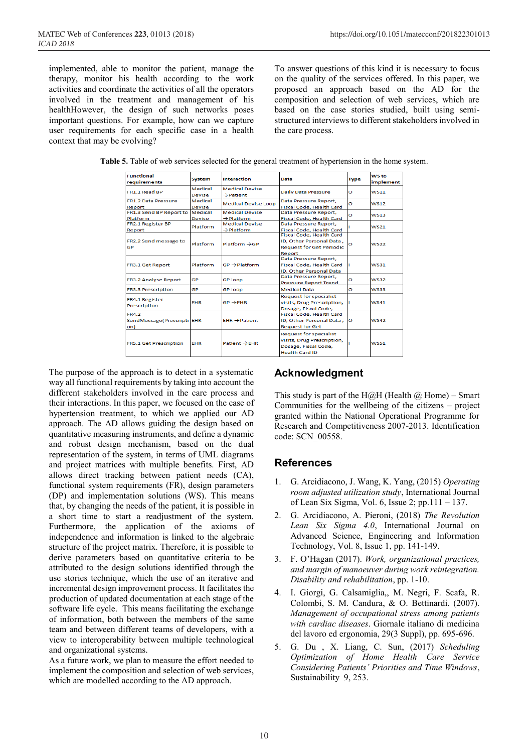implemented, able to monitor the patient, manage the therapy, monitor his health according to the work activities and coordinate the activities of all the operators involved in the treatment and management of his healthHowever, the design of such networks poses important questions. For example, how can we capture user requirements for each specific case in a health context that may be evolving?

To answer questions of this kind it is necessary to focus on the quality of the services offered. In this paper, we proposed an approach based on the AD for the composition and selection of web services, which are based on the case stories studied, built using semistructured interviews to different stakeholders involved in the care process.

|  |  |  |  | Table 5. Table of web services selected for the general treatment of hypertension in the home system. |  |  |
|--|--|--|--|-------------------------------------------------------------------------------------------------------|--|--|
|--|--|--|--|-------------------------------------------------------------------------------------------------------|--|--|

| <b>Functional</b><br>requirements                 | <b>System</b>            | <b>Interaction</b>                              | Data                                                                                                         | <b>Type</b> | <b>WS</b> to<br>implement |  |
|---------------------------------------------------|--------------------------|-------------------------------------------------|--------------------------------------------------------------------------------------------------------------|-------------|---------------------------|--|
| FR1.1 Read BP                                     | Medical<br>Devise        | <b>Medical Devise</b><br>$\rightarrow$ Patient  | <b>Daily Data Pressure</b>                                                                                   | $\circ$     | <b>WS11</b>               |  |
| FR1.2 Data Pressure<br>Report                     | Medical<br><b>Devise</b> | <b>Medical Devise Loop</b>                      | Data Pressure Report,<br>$\Omega$<br>Fiscal Code, Health Card                                                |             | <b>WS12</b>               |  |
| FR1.3 Send BP Report to<br>Platform               | Medical<br><b>Devise</b> | <b>Medical Devise</b><br>$\rightarrow$ Platform | Data Pressure Report,<br>Fiscal Code, Health Card                                                            | $\Omega$    | <b>WS13</b>               |  |
| FR2.1 Register BP<br>Report                       | Platform                 | <b>Medical Devise</b><br>$\rightarrow$ Platform | Data Pressure Report,<br>Fiscal Code, Health Card                                                            |             | <b>WS21</b>               |  |
| FR2.2 Send message to<br><b>GP</b>                | Platform                 | $Platform \rightarrow GP$                       | <b>Fiscal Code, Health Card</b><br>ID, Other Personal Data,<br><b>Request for Get Periodic</b><br>Report     | $\Omega$    | <b>WS22</b>               |  |
| <b>FR3.1 Get Report</b>                           | Platform                 | $GP \rightarrow$ Platform                       | Data Pressure Report,<br>Fiscal Code, Health Card<br>ID. Other Personal Data                                 |             | <b>WS31</b>               |  |
| <b>FR3.2 Analyse Report</b>                       | GP                       | <b>GP loop</b>                                  | Data Pressure Report,<br><b>Pressure Report Trend</b>                                                        | $\circ$     | <b>WS32</b>               |  |
| <b>FR3.3 Prescription</b>                         | GP                       | <b>GP loop</b>                                  | <b>Medical Data</b>                                                                                          | $\Omega$    | <b>WS33</b>               |  |
| <b>FR4.1 Register</b><br>Prescription             | <b>FHR</b>               | $GP \rightarrow EHR$                            | <b>Request for specialist</b><br>visits, Drug Prescription,<br>Dosage, Fiscal Code,                          |             | <b>WS41</b>               |  |
| <b>FR4.2</b><br>SendMessage(Prescripti EHR<br>on) |                          | $EHR \rightarrow$ Patient                       | Fiscal Code, Health Card<br>ID. Other Personal Data.<br><b>Request for Get</b>                               | $\Omega$    | <b>WS42</b>               |  |
| <b>FR5.1 Get Prescription</b>                     | <b>FHR</b>               | Patient $\rightarrow$ EHR                       | <b>Request for specialist</b><br>visits, Drug Prescription,<br>Dosage, Fiscal Code,<br><b>Health Card ID</b> |             | <b>WS51</b>               |  |

The purpose of the approach is to detect in a systematic way all functional requirements by taking into account the different stakeholders involved in the care process and their interactions. In this paper, we focused on the case of hypertension treatment, to which we applied our AD approach. The AD allows guiding the design based on quantitative measuring instruments, and define a dynamic and robust design mechanism, based on the dual representation of the system, in terms of UML diagrams and project matrices with multiple benefits. First, AD allows direct tracking between patient needs (CA), functional system requirements (FR), design parameters (DP) and implementation solutions (WS). This means that, by changing the needs of the patient, it is possible in a short time to start a readjustment of the system. Furthermore, the application of the axioms of independence and information is linked to the algebraic structure of the project matrix. Therefore, it is possible to derive parameters based on quantitative criteria to be attributed to the design solutions identified through the use stories technique, which the use of an iterative and incremental design improvement process. It facilitates the production of updated documentation at each stage of the software life cycle. This means facilitating the exchange of information, both between the members of the same team and between different teams of developers, with a view to interoperability between multiple technological and organizational systems.

As a future work, we plan to measure the effort needed to implement the composition and selection of web services, which are modelled according to the AD approach.

# **Acknowledgment**

This study is part of the H@H (Health  $@$  Home) – Smart Communities for the wellbeing of the citizens – project granted within the National Operational Programme for Research and Competitiveness 2007-2013. Identification code: SCN\_00558.

## **References**

- 1. G. Arcidiacono, J. Wang, K. Yang, (2015) *Operating room adjusted utilization study*, International Journal of Lean Six Sigma, Vol. 6, Issue 2; pp.111 – 137.
- 2. G. Arcidiacono, A. Pieroni, (2018) *The Revolution Lean Six Sigma 4.0*, International Journal on Advanced Science, Engineering and Information Technology, Vol. 8, Issue 1, pp. 141-149.
- 3. F. O'Hagan (2017). *Work, organizational practices, and margin of manoeuver during work reintegration. Disability and rehabilitation*, pp. 1-10.
- 4. I. Giorgi, G. Calsamiglia,, M. Negri, F. Scafa, R. Colombi, S. M. Candura, & O. Bettinardi. (2007). *Management of occupational stress among patients with cardiac diseases*. Giornale italiano di medicina del lavoro ed ergonomia, 29(3 Suppl), pp. 695-696.
- 5. G. Du , X. Liang, C. Sun, (2017) *Scheduling Optimization of Home Health Care Service Considering Patients' Priorities and Time Windows*, Sustainability 9, 253.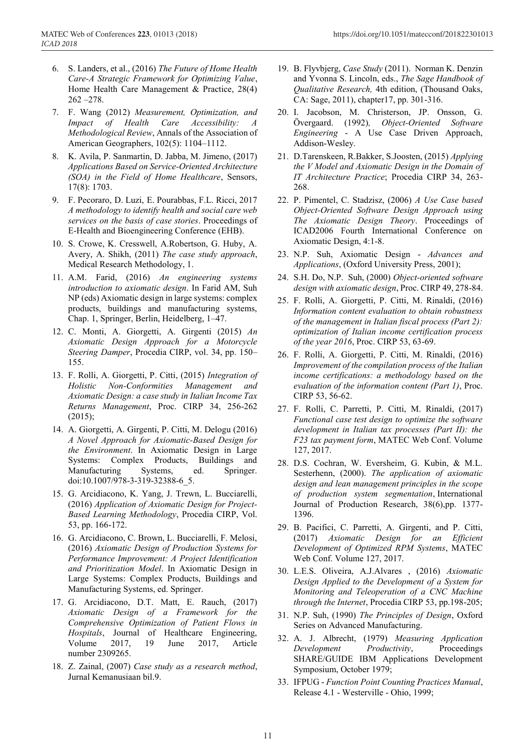- 6. S. Landers, et al., (2016) *The Future of Home Health Care-A Strategic Framework for Optimizing Value*, Home Health Care Management & Practice, 28(4)  $262 - 278$ .
- 7. F. Wang (2012) *Measurement, Optimization, and Impact of Health Care Accessibility: A Methodological Review*, Annals of the Association of American Geographers, 102(5): 1104–1112.
- 8. K. Avila, P. Sanmartin, D. Jabba, M. Jimeno, (2017) *Applications Based on Service-Oriented Architecture (SOA) in the Field of Home Healthcare*, Sensors, 17(8): 1703.
- 9. F. Pecoraro, D. Luzi, E. Pourabbas, F.L. Ricci, 2017 *A methodology to identify health and social care web services on the basis of case stories*. Proceedings of E-Health and Bioengineering Conference (EHB).
- 10. S. Crowe, K. Cresswell, A.Robertson, G. Huby, A. Avery, A. Shikh, (2011) *The case study approach*, Medical Research Methodology, 1.
- 11. A.M. Farid, (2016) *An engineering systems introduction to axiomatic design*. In Farid AM, Suh NP (eds) Axiomatic design in large systems: complex products, buildings and manufacturing systems, Chap. 1, Springer, Berlin, Heidelberg, 1–47.
- 12. C. Monti, A. Giorgetti, A. Girgenti (2015) *An Axiomatic Design Approach for a Motorcycle Steering Damper*, Procedia CIRP, vol. 34, pp. 150– 155.
- 13. F. Rolli, A. Giorgetti, P. Citti, (2015) *Integration of Holistic Non-Conformities Management and Axiomatic Design: a case study in Italian Income Tax Returns Management*, Proc. CIRP 34, 256-262 (2015);
- 14. A. Giorgetti, A. Girgenti, P. Citti, M. Delogu (2016) *A Novel Approach for Axiomatic-Based Design for the Environment*. In Axiomatic Design in Large Systems: Complex Products, Buildings and Manufacturing Systems, ed. Springer. doi:10.1007/978-3-319-32388-6\_5.
- 15. G. Arcidiacono, K. Yang, J. Trewn, L. Bucciarelli, (2016) *Application of Axiomatic Design for Project-Based Learning Methodology*, Procedia CIRP, Vol. 53, pp. 166-172.
- 16. G. Arcidiacono, C. Brown, L. Bucciarelli, F. Melosi, (2016) *Axiomatic Design of Production Systems for Performance Improvement: A Project Identification and Prioritization Model*. In Axiomatic Design in Large Systems: Complex Products, Buildings and Manufacturing Systems, ed. Springer.
- 17. G. Arcidiacono, D.T. Matt, E. Rauch, (2017) *Axiomatic Design of a Framework for the Comprehensive Optimization of Patient Flows in Hospitals*, Journal of Healthcare Engineering, Volume 2017, 19 June 2017, Article number 2309265.
- 18. Z. Zainal, (2007) *Case study as a research method*, Jurnal Kemanusiaan bil.9.
- 19. B. Flyvbjerg, *Case Study* (2011). Norman K. Denzin and Yvonna S. Lincoln, eds., *The Sage Handbook of Qualitative Research,* 4th edition, (Thousand Oaks, CA: Sage, 2011), chapter17, pp. 301-316.
- 20. I. Jacobson, M. Christerson, JP. Onsson, G. Övergaard. (1992)*, Object-Oriented Software Engineering* - A Use Case Driven Approach, Addison-Wesley.
- 21. D.Tarenskeen, R.Bakker, S.Joosten, (2015) *Applying the V Model and Axiomatic Design in the Domain of IT Architecture Practice*; Procedia CIRP 34, 263- 268.
- 22. P. Pimentel, C. Stadzisz, (2006) *A Use Case based Object-Oriented Software Design Approach using The Axiomatic Design Theory*. Proceedings of ICAD2006 Fourth International Conference on Axiomatic Design, 4:1-8.
- 23. N.P. Suh, Axiomatic Design *Advances and Applications*, (Oxford University Press, 2001);
- 24. S.H. Do, N.P. Suh, (2000) *Object-oriented software design with axiomatic design*, Proc. CIRP 49, 278-84.
- 25. F. Rolli, A. Giorgetti, P. Citti, M. Rinaldi, (2016) *Information content evaluation to obtain robustness of the management in Italian fiscal process (Part 2): optimization of Italian income certification process of the year 2016*, Proc. CIRP 53, 63-69.
- 26. F. Rolli, A. Giorgetti, P. Citti, M. Rinaldi, (2016) *Improvement of the compilation process of the Italian income certifications: a methodology based on the evaluation of the information content (Part 1)*, Proc. CIRP 53, 56-62.
- 27. F. Rolli, C. Parretti, P. Citti, M. Rinaldi, (2017) *Functional case test design to optimize the software development in Italian tax processes (Part II): the F23 tax payment form*, MATEC Web Conf. Volume 127, 2017.
- 28. D.S. Cochran, W. Eversheim, G. Kubin, & M.L. Sesterhenn, (2000). *The application of axiomatic design and lean management principles in the scope of production system segmentation*, International Journal of Production Research, 38(6),pp. 1377- 1396.
- 29. B. Pacifici, C. Parretti, A. Girgenti, and P. Citti, (2017) *Axiomatic Design for an Efficient Development of Optimized RPM Systems*, MATEC Web Conf. Volume 127, 2017.
- 30. L.E.S. Oliveira, A.J.Alvares , (2016) *Axiomatic Design Applied to the Development of a System for Monitoring and Teleoperation of a CNC Machine through the Internet*, Procedia CIRP 53, pp.198-205;
- 31. N.P. Suh, (1990) *The Principles of Design*, Oxford Series on Advanced Manufacturing.
- 32. A. J. Albrecht, (1979) *Measuring Application Development Productivity*, Proceedings SHARE/GUIDE IBM Applications Development Symposium, October 1979;
- 33. IFPUG *Function Point Counting Practices Manual*, Release 4.1 - Westerville - Ohio, 1999;